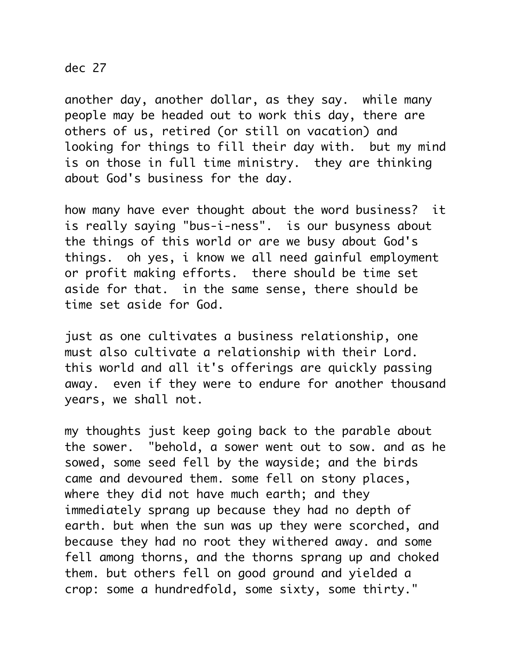## dec 27

another day, another dollar, as they say. while many people may be headed out to work this day, there are others of us, retired (or still on vacation) and looking for things to fill their day with. but my mind is on those in full time ministry. they are thinking about God's business for the day.

how many have ever thought about the word business? it is really saying "bus-i-ness". is our busyness about the things of this world or are we busy about God's things. oh yes, i know we all need gainful employment or profit making efforts. there should be time set aside for that. in the same sense, there should be time set aside for God.

just as one cultivates a business relationship, one must also cultivate a relationship with their Lord. this world and all it's offerings are quickly passing away. even if they were to endure for another thousand years, we shall not.

my thoughts just keep going back to the parable about the sower. "behold, a sower went out to sow. and as he sowed, some seed fell by the wayside; and the birds came and devoured them. some fell on stony places, where they did not have much earth; and they immediately sprang up because they had no depth of earth. but when the sun was up they were scorched, and because they had no root they withered away. and some fell among thorns, and the thorns sprang up and choked them. but others fell on good ground and yielded a crop: some a hundredfold, some sixty, some thirty."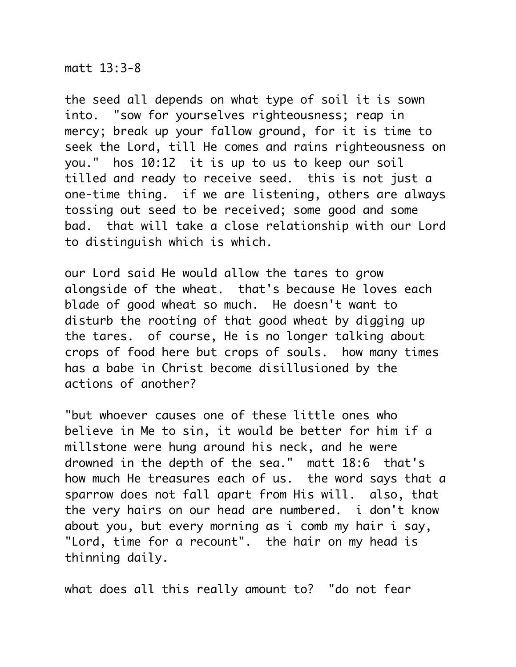## matt 13:3-8

the seed all depends on what type of soil it is sown into. "sow for yourselves righteousness; reap in mercy; break up your fallow ground, for it is time to seek the Lord, till He comes and rains righteousness on you." hos 10:12 it is up to us to keep our soil tilled and ready to receive seed. this is not just a one-time thing. if we are listening, others are always tossing out seed to be received; some good and some bad. that will take a close relationship with our Lord to distinguish which is which.

our Lord said He would allow the tares to grow alongside of the wheat. that's because He loves each blade of good wheat so much. He doesn't want to disturb the rooting of that good wheat by digging up the tares. of course, He is no longer talking about crops of food here but crops of souls. how many times has a babe in Christ become disillusioned by the actions of another?

"but whoever causes one of these little ones who believe in Me to sin, it would be better for him if a millstone were hung around his neck, and he were drowned in the depth of the sea." matt 18:6 that's how much He treasures each of us. the word says that a sparrow does not fall apart from His will. also, that the very hairs on our head are numbered. i don't know about you, but every morning as i comb my hair i say, "Lord, time for a recount". the hair on my head is thinning daily.

what does all this really amount to? "do not fear